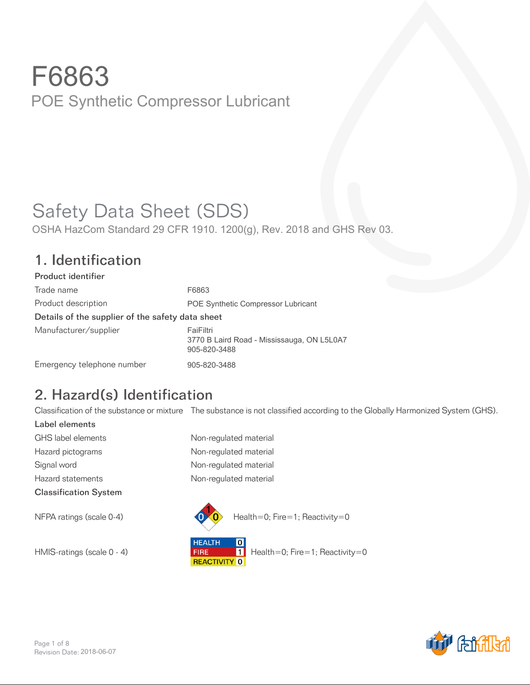# Safety Data Sheet (SDS)

OSHA HazCom Standard 29 CFR 1910. 1200(g), Rev. 2018 and GHS Rev 03.

#### 1. Identification

| Product identifier                               |                                                                         |
|--------------------------------------------------|-------------------------------------------------------------------------|
| Trade name                                       | F6863                                                                   |
| Product description                              | <b>POE Synthetic Compressor Lubricant</b>                               |
| Details of the supplier of the safety data sheet |                                                                         |
| Manufacturer/supplier                            | FaiFiltri<br>3770 B Laird Road - Mississauga, ON L5L0A7<br>905-820-3488 |
| Emergency telephone number                       | 905-820-3488                                                            |

## 2. Hazard(s) Identification

Classification of the substance or mixture The substance is not classified according to the Globally Harmonized System (GHS).

Label elements GHS label elements Non-regulated material Hazard pictograms **Non-regulated material** Signal word **Non-regulated material** Hazard statements **Non-regulated material** Classification System





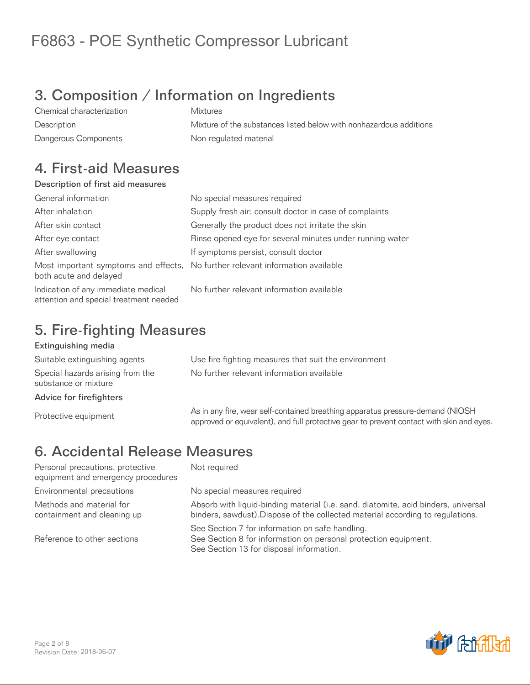## 3. Composition / Information on Ingredients

Chemical characterization Mixtures Description Mixture of the substances listed below with nonhazardous additions Dangerous Components **Non-regulated material** 

#### 4. First-aid Measures

#### Description of first aid measures

| General information                                                           | No special measures required                                                   |
|-------------------------------------------------------------------------------|--------------------------------------------------------------------------------|
| After inhalation                                                              | Supply fresh air; consult doctor in case of complaints                         |
| After skin contact                                                            | Generally the product does not irritate the skin                               |
| After eye contact                                                             | Rinse opened eye for several minutes under running water                       |
| After swallowing                                                              | If symptoms persist, consult doctor                                            |
| both acute and delayed                                                        | Most important symptoms and effects, No further relevant information available |
| Indication of any immediate medical<br>attention and special treatment needed | No further relevant information available                                      |

### 5. Fire-fighting Measures

#### Extinguishing media

Suitable extinguishing agents Use fire fighting measures that suit the environment Special hazards arising from the substance or mixture

Advice for firefighters

No further relevant information available

As in any fire, wear self-contained breathing apparatus pressure-demand (NIOSH)<br>Contained by a sure-demand and subsetive application asset apparatus pressure technicle also and a approved or equivalent), and full protective gear to prevent contact with skin and eyes.

## 6. Accidental Release Measures

Personal precautions, protective equipment and emergency procedures Environmental precautions entity No special measures required Methods and material for containment and cleaning up

Reference to other sections

Not required

Absorb with liquid-binding material (i.e. sand, diatomite, acid binders, universal binders, sawdust).Dispose of the collected material according to regulations.

See Section 7 for information on safe handling. See Section 8 for information on personal protection equipment. See Section 13 for disposal information.

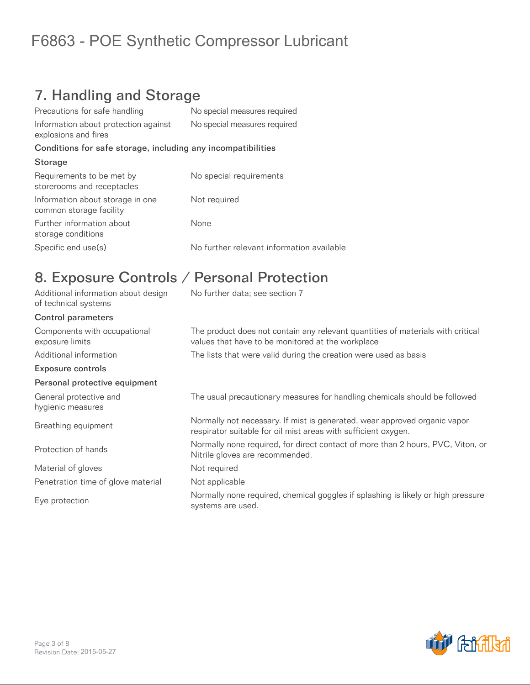## 7. Handling and Storage

| Precautions for safe handling                                | No special measures required              |
|--------------------------------------------------------------|-------------------------------------------|
| Information about protection against<br>explosions and fires | No special measures required              |
| Conditions for safe storage, including any incompatibilities |                                           |
| Storage                                                      |                                           |
| Requirements to be met by<br>storerooms and receptacles      | No special requirements                   |
| Information about storage in one<br>common storage facility  | Not required                              |
| Further information about<br>storage conditions              | None                                      |
| Specific end use(s)                                          | No further relevant information available |

### 8. Exposure Controls / Personal Protection

| Additional information about design<br>of technical systems | No further data; see section 7                                                                                                              |
|-------------------------------------------------------------|---------------------------------------------------------------------------------------------------------------------------------------------|
| <b>Control parameters</b>                                   |                                                                                                                                             |
| Components with occupational<br>exposure limits             | The product does not contain any relevant quantities of materials with critical<br>values that have to be monitored at the workplace        |
| Additional information                                      | The lists that were valid during the creation were used as basis                                                                            |
| <b>Exposure controls</b>                                    |                                                                                                                                             |
| Personal protective equipment                               |                                                                                                                                             |
| General protective and<br>hygienic measures                 | The usual precautionary measures for handling chemicals should be followed                                                                  |
| Breathing equipment                                         | Normally not necessary. If mist is generated, wear approved organic vapor<br>respirator suitable for oil mist areas with sufficient oxygen. |
| Protection of hands                                         | Normally none required, for direct contact of more than 2 hours, PVC, Viton, or<br>Nitrile gloves are recommended.                          |
| Material of gloves                                          | Not required                                                                                                                                |
| Penetration time of glove material                          | Not applicable                                                                                                                              |
| Eye protection                                              | Normally none required, chemical goggles if splashing is likely or high pressure<br>systems are used.                                       |

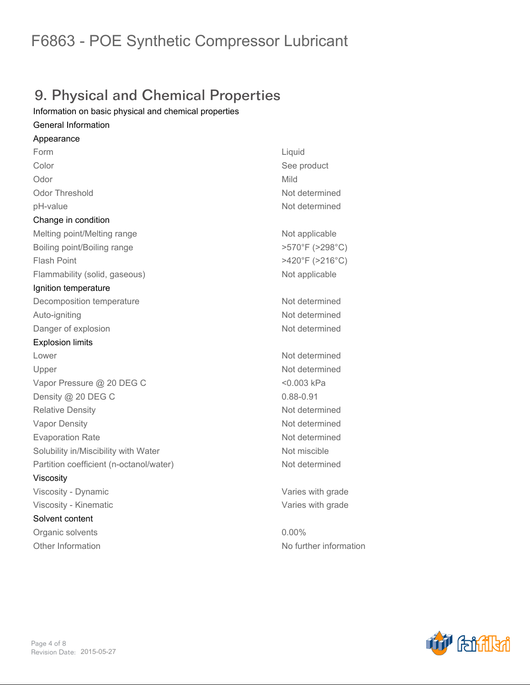## 9. Physical and Chemical Properties

*Information on basic physical and chemical properties*

#### *General Information*

*Appearance Form Liquid Color See product Odor Mild Odor Threshold Not determined pH-value Not determined Change in condition* **Melting point/Melting range <b>Not applicable Not applicable** *Boiling point/Boiling range >570°F (>298°C) Flash Point >420°F (>216°C) Flammability (solid, gaseous) Not applicable Ignition temperature Decomposition temperature Not determined Auto-igniting Not determined* **Danger of explosion** *Not determined Explosion limits Lower Not determined Upper Not determined Vapor Pressure @ 20 DEG C <0.003 kPa Density @ 20 DEG C 0.88-0.91 Relative Density Not determined Vapor Density Not determined Evaporation Rate Not determined Solubility in/Miscibility with Water Not miscible Partition coefficient (n-octanol/water) Not determined Viscosity Viscosity - Dynamic Varies with grade Viscosity - Kinematic Varies with grade Solvent content Organic solvents 0.00% Other Information No further information*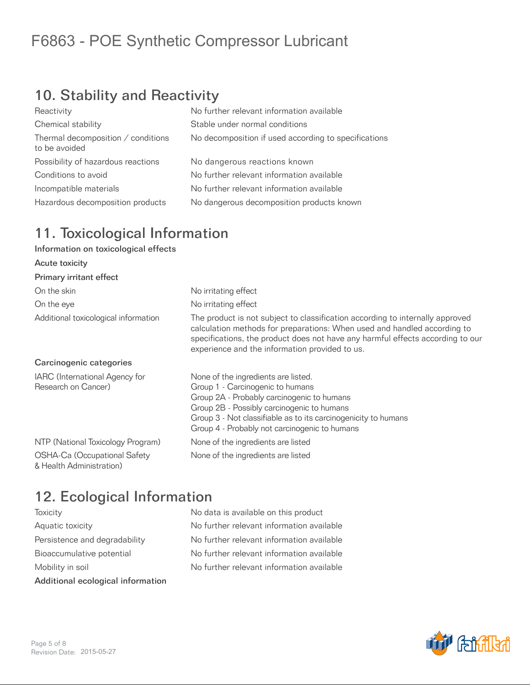## 10. Stability and Reactivity

| No further relevant information available            |
|------------------------------------------------------|
| Stable under normal conditions                       |
| No decomposition if used according to specifications |
| No dangerous reactions known                         |
| No further relevant information available            |
| No further relevant information available            |
| No dangerous decomposition products known            |
|                                                      |

#### 11. Toxicological Information

#### Information on toxicological effects

| Acute toxicity                                           |                                                                                                                                                                                                                                                                                               |
|----------------------------------------------------------|-----------------------------------------------------------------------------------------------------------------------------------------------------------------------------------------------------------------------------------------------------------------------------------------------|
| Primary irritant effect                                  |                                                                                                                                                                                                                                                                                               |
| On the skin                                              | No irritating effect                                                                                                                                                                                                                                                                          |
| On the eye                                               | No irritating effect                                                                                                                                                                                                                                                                          |
| Additional toxicological information                     | The product is not subject to classification according to internally approved<br>calculation methods for preparations: When used and handled according to<br>specifications, the product does not have any harmful effects according to our<br>experience and the information provided to us. |
| Carcinogenic categories                                  |                                                                                                                                                                                                                                                                                               |
| IARC (International Agency for<br>Research on Cancer)    | None of the ingredients are listed.<br>Group 1 - Carcinogenic to humans<br>Group 2A - Probably carcinogenic to humans<br>Group 2B - Possibly carcinogenic to humans<br>Group 3 - Not classifiable as to its carcinogenicity to humans<br>Group 4 - Probably not carcinogenic to humans        |
| NTP (National Toxicology Program)                        | None of the ingredients are listed                                                                                                                                                                                                                                                            |
| OSHA-Ca (Occupational Safety<br>& Health Administration) | None of the ingredients are listed                                                                                                                                                                                                                                                            |

### 12. Ecological Information

| Additional ecological information |  |
|-----------------------------------|--|
| Mobility in soil                  |  |
| Bioaccumulative potential         |  |
| Persistence and degradability     |  |
| Aquatic toxicity                  |  |
| TOXICITY                          |  |

No data is available on this product No further relevant information available No further relevant information available No further relevant information available No further relevant information available

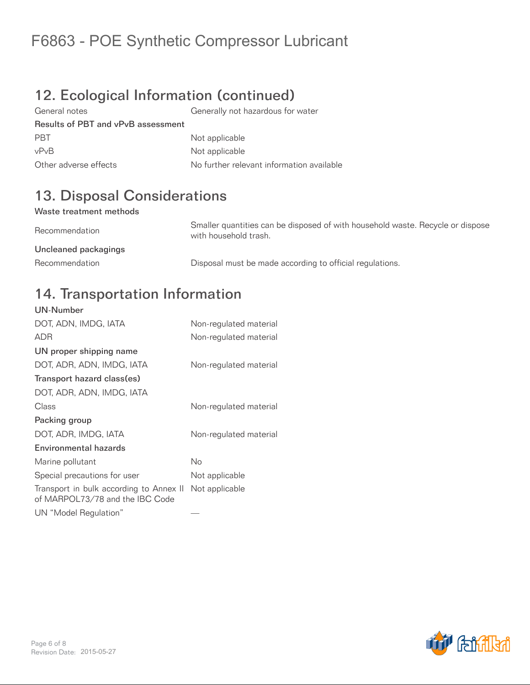## 12. Ecological Information (continued)

General notes Generally not hazardous for water Results of PBT and vPvB assessment PBT Not applicable vPvB Not applicable Other adverse effects No further relevant information available

## 13. Disposal Considerations

#### Waste treatment methods

Recommendation Smaller quantities can be disposed of with household waste. Recycle or dispose with household trash. Uncleaned packagings Recommendation **Disposal must be made according to official regulations.** 

#### 14. Transportation Information UN-Number

| UN-NUMBER                                                                  |                        |
|----------------------------------------------------------------------------|------------------------|
| DOT, ADN, IMDG, IATA                                                       | Non-regulated material |
| <b>ADR</b>                                                                 | Non-regulated material |
| UN proper shipping name                                                    |                        |
| DOT, ADR, ADN, IMDG, IATA                                                  | Non-regulated material |
| Transport hazard class(es)                                                 |                        |
| DOT, ADR, ADN, IMDG, IATA                                                  |                        |
| Class                                                                      | Non-regulated material |
| Packing group                                                              |                        |
| DOT, ADR, IMDG, IATA                                                       | Non-regulated material |
| Environmental hazards                                                      |                        |
| Marine pollutant                                                           | No                     |
| Special precautions for user                                               | Not applicable         |
| Transport in bulk according to Annex II<br>of MARPOL73/78 and the IBC Code | Not applicable         |
| UN "Model Regulation"                                                      |                        |

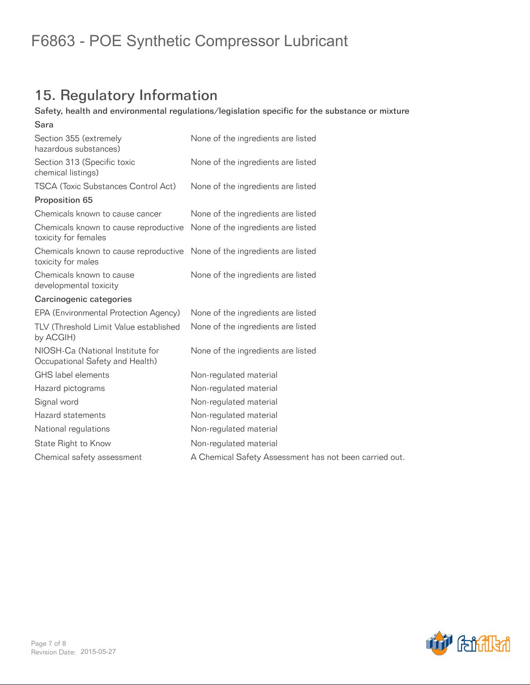## 15. Regulatory Information

#### Safety, health and environmental regulations/legislation specific for the substance or mixture

| Sara                                                                                           |                                                        |
|------------------------------------------------------------------------------------------------|--------------------------------------------------------|
| Section 355 (extremely<br>hazardous substances)                                                | None of the ingredients are listed                     |
| Section 313 (Specific toxic<br>chemical listings)                                              | None of the ingredients are listed                     |
| <b>TSCA (Toxic Substances Control Act)</b>                                                     | None of the ingredients are listed                     |
| Proposition 65                                                                                 |                                                        |
| Chemicals known to cause cancer                                                                | None of the ingredients are listed                     |
| Chemicals known to cause reproductive<br>toxicity for females                                  | None of the ingredients are listed                     |
| Chemicals known to cause reproductive None of the ingredients are listed<br>toxicity for males |                                                        |
| Chemicals known to cause<br>developmental toxicity                                             | None of the ingredients are listed                     |
| Carcinogenic categories                                                                        |                                                        |
| EPA (Environmental Protection Agency)                                                          | None of the ingredients are listed                     |
| TLV (Threshold Limit Value established<br>by ACGIH)                                            | None of the ingredients are listed                     |
| NIOSH-Ca (National Institute for<br>Occupational Safety and Health)                            | None of the ingredients are listed                     |
| GHS label elements                                                                             | Non-regulated material                                 |
| Hazard pictograms                                                                              | Non-regulated material                                 |
| Signal word                                                                                    | Non-regulated material                                 |
| Hazard statements                                                                              | Non-regulated material                                 |
| National regulations                                                                           | Non-regulated material                                 |
| State Right to Know                                                                            | Non-regulated material                                 |
| Chemical safety assessment                                                                     | A Chemical Safety Assessment has not been carried out. |
|                                                                                                |                                                        |